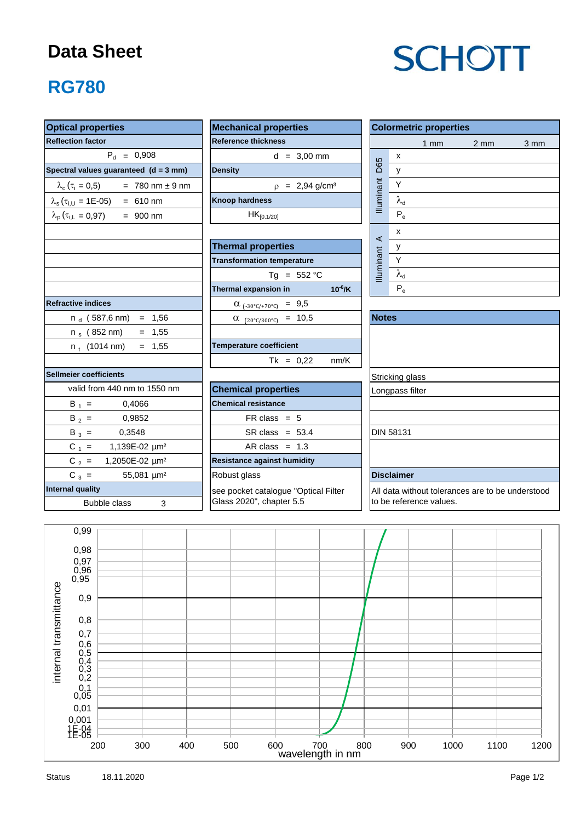## **Data Sheet**

# **SCHOTT**

# **RG780**

| <b>Optical properties</b>                                  | <b>Mechanical properties</b>                 | <b>Colormetric properties</b>                          |  |  |  |  |  |  |
|------------------------------------------------------------|----------------------------------------------|--------------------------------------------------------|--|--|--|--|--|--|
| <b>Reflection factor</b>                                   | <b>Reference thickness</b>                   | $1 \text{ mm}$<br>$2 \, \text{mm}$<br>$3 \, \text{mm}$ |  |  |  |  |  |  |
| $P_{d} = 0,908$                                            | $d = 3,00$ mm                                | $\pmb{\mathsf{x}}$                                     |  |  |  |  |  |  |
| Spectral values guaranteed $(d = 3$ mm)                    | <b>Density</b>                               | Illuminant D65<br>y                                    |  |  |  |  |  |  |
| $= 780$ nm $\pm 9$ nm<br>$\lambda_c$ ( $\tau_i = 0.5$ )    | $p = 2,94$ g/cm <sup>3</sup>                 | Y                                                      |  |  |  |  |  |  |
| $\lambda_s(\tau_{i,U} = 1E-05) = 610$ nm                   | <b>Knoop hardness</b>                        | $\lambda_{\text{d}}$                                   |  |  |  |  |  |  |
| $\lambda_{\rm p}$ ( $\tau_{\rm i,L}$ = 0,97)<br>$= 900$ nm | $HK_{[0.1/20]}$                              | $P_e$                                                  |  |  |  |  |  |  |
|                                                            |                                              | X                                                      |  |  |  |  |  |  |
|                                                            | <b>Thermal properties</b>                    | $\prec$<br>y                                           |  |  |  |  |  |  |
|                                                            | <b>Transformation temperature</b>            | $\overline{Y}$                                         |  |  |  |  |  |  |
|                                                            | Tg = $552 °C$                                | Illuminant<br>$\lambda_{\rm d}$                        |  |  |  |  |  |  |
|                                                            | Thermal expansion in<br>$10^{-6}$ /K         | $P_e$                                                  |  |  |  |  |  |  |
| <b>Refractive indices</b>                                  | $\alpha_{(-30^{\circ}C/+70^{\circ}C)} = 9.5$ |                                                        |  |  |  |  |  |  |
| $n_d$ (587,6 nm) = 1,56                                    | $\alpha$ (20°C/300°C) = 10,5                 | <b>Notes</b>                                           |  |  |  |  |  |  |
| $= 1,55$<br>n <sub>s</sub> (852 nm)                        |                                              |                                                        |  |  |  |  |  |  |
| $n_t$ (1014 nm)<br>$= 1,55$                                | <b>Temperature coefficient</b>               |                                                        |  |  |  |  |  |  |
|                                                            | $Tk = 0,22$<br>nm/K                          |                                                        |  |  |  |  |  |  |
| <b>Sellmeier coefficients</b>                              |                                              | Stricking glass                                        |  |  |  |  |  |  |
| valid from 440 nm to 1550 nm                               | <b>Chemical properties</b>                   | Longpass filter                                        |  |  |  |  |  |  |
| $B_1 =$<br>0,4066                                          | <b>Chemical resistance</b>                   |                                                        |  |  |  |  |  |  |
| $B_2 =$<br>0,9852                                          | $FR \text{ class } = 5$                      |                                                        |  |  |  |  |  |  |
| $B_3 =$<br>0,3548                                          | $SR class = 53.4$                            | <b>DIN 58131</b>                                       |  |  |  |  |  |  |
| $C_1 =$<br>1,139E-02 µm <sup>2</sup>                       | AR class = $1.3$                             |                                                        |  |  |  |  |  |  |
| $C_2 =$<br>1,2050E-02 µm <sup>2</sup>                      | <b>Resistance against humidity</b>           |                                                        |  |  |  |  |  |  |
| $C_3 =$<br>55,081 µm <sup>2</sup>                          | Robust glass                                 | <b>Disclaimer</b>                                      |  |  |  |  |  |  |
| <b>Internal quality</b>                                    | see pocket catalogue "Optical Filter         | All data without tolerances are to be understood       |  |  |  |  |  |  |
| <b>Bubble class</b><br>3                                   | Glass 2020", chapter 5.5                     | to be reference values.                                |  |  |  |  |  |  |
|                                                            |                                              |                                                        |  |  |  |  |  |  |
| 0,99                                                       |                                              |                                                        |  |  |  |  |  |  |